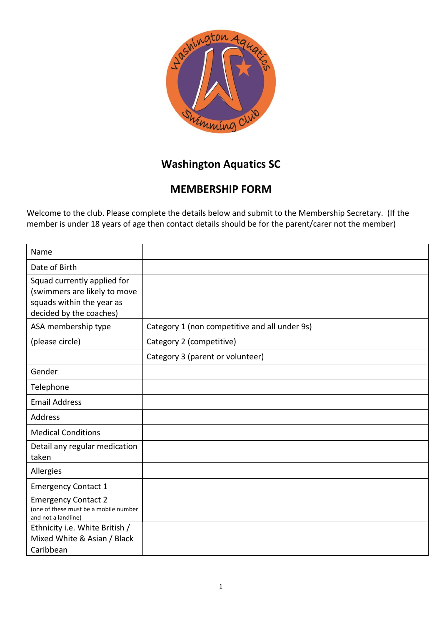

## **Washington Aquatics SC**

## **MEMBERSHIP FORM**

Welcome to the club. Please complete the details below and submit to the Membership Secretary. (If the member is under 18 years of age then contact details should be for the parent/carer not the member)

| Name                                                                                                                |                                               |
|---------------------------------------------------------------------------------------------------------------------|-----------------------------------------------|
| Date of Birth                                                                                                       |                                               |
| Squad currently applied for<br>(swimmers are likely to move<br>squads within the year as<br>decided by the coaches) |                                               |
| ASA membership type                                                                                                 | Category 1 (non competitive and all under 9s) |
| (please circle)                                                                                                     | Category 2 (competitive)                      |
|                                                                                                                     | Category 3 (parent or volunteer)              |
| Gender                                                                                                              |                                               |
| Telephone                                                                                                           |                                               |
| <b>Email Address</b>                                                                                                |                                               |
| <b>Address</b>                                                                                                      |                                               |
| <b>Medical Conditions</b>                                                                                           |                                               |
| Detail any regular medication<br>taken                                                                              |                                               |
| Allergies                                                                                                           |                                               |
| <b>Emergency Contact 1</b>                                                                                          |                                               |
| <b>Emergency Contact 2</b><br>(one of these must be a mobile number<br>and not a landline)                          |                                               |
| Ethnicity i.e. White British /<br>Mixed White & Asian / Black<br>Caribbean                                          |                                               |